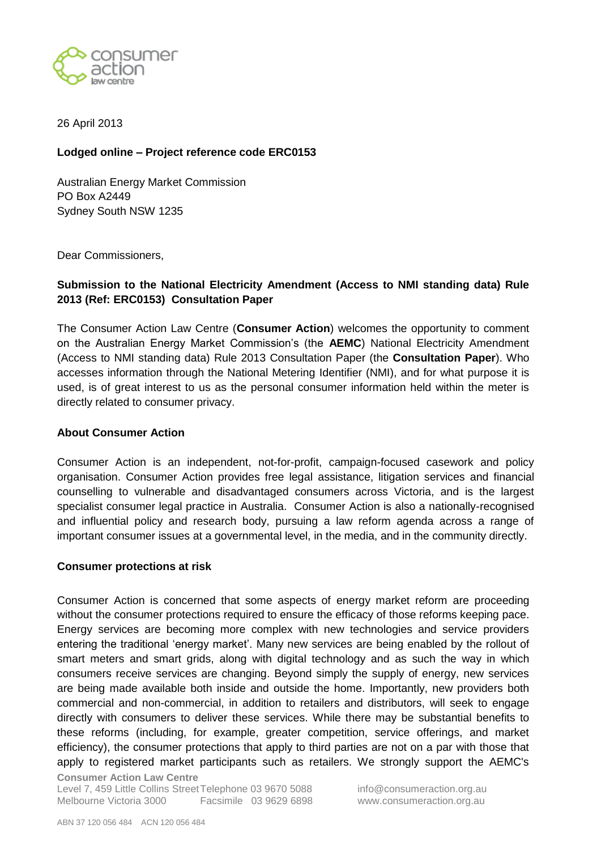

26 April 2013

## **Lodged online – Project reference code ERC0153**

Australian Energy Market Commission PO Box A2449 Sydney South NSW 1235

Dear Commissioners,

## **Submission to the National Electricity Amendment (Access to NMI standing data) Rule 2013 (Ref: ERC0153) Consultation Paper**

The Consumer Action Law Centre (**Consumer Action**) welcomes the opportunity to comment on the Australian Energy Market Commission"s (the **AEMC**) National Electricity Amendment (Access to NMI standing data) Rule 2013 Consultation Paper (the **Consultation Paper**). Who accesses information through the National Metering Identifier (NMI), and for what purpose it is used, is of great interest to us as the personal consumer information held within the meter is directly related to consumer privacy.

## **About Consumer Action**

Consumer Action is an independent, not-for-profit, campaign-focused casework and policy organisation. Consumer Action provides free legal assistance, litigation services and financial counselling to vulnerable and disadvantaged consumers across Victoria, and is the largest specialist consumer legal practice in Australia. Consumer Action is also a nationally-recognised and influential policy and research body, pursuing a law reform agenda across a range of important consumer issues at a governmental level, in the media, and in the community directly.

## **Consumer protections at risk**

Consumer Action is concerned that some aspects of energy market reform are proceeding without the consumer protections required to ensure the efficacy of those reforms keeping pace. Energy services are becoming more complex with new technologies and service providers entering the traditional "energy market". Many new services are being enabled by the rollout of smart meters and smart grids, along with digital technology and as such the way in which consumers receive services are changing. Beyond simply the supply of energy, new services are being made available both inside and outside the home. Importantly, new providers both commercial and non-commercial, in addition to retailers and distributors, will seek to engage directly with consumers to deliver these services. While there may be substantial benefits to these reforms (including, for example, greater competition, service offerings, and market efficiency), the consumer protections that apply to third parties are not on a par with those that apply to registered market participants such as retailers. We strongly support the AEMC's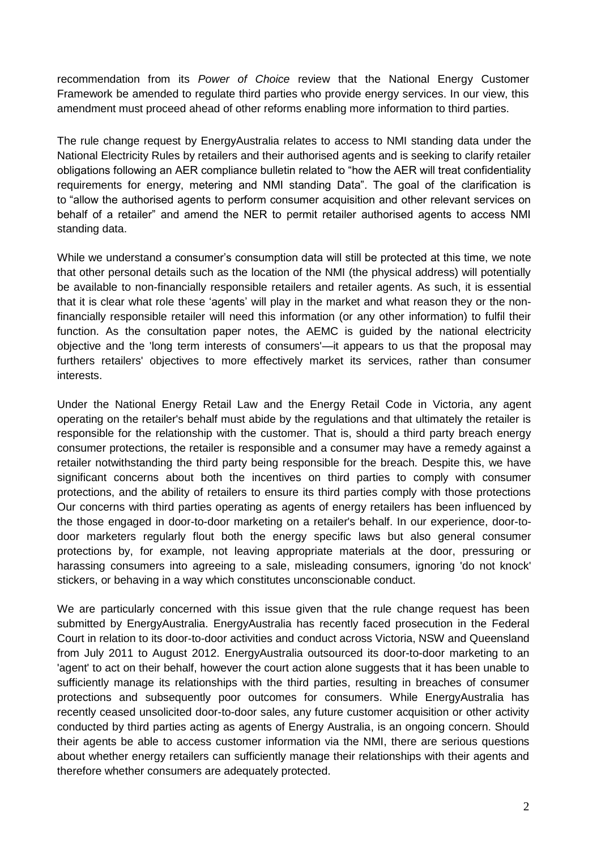recommendation from its *Power of Choice* review that the National Energy Customer Framework be amended to regulate third parties who provide energy services. In our view, this amendment must proceed ahead of other reforms enabling more information to third parties.

The rule change request by EnergyAustralia relates to access to NMI standing data under the National Electricity Rules by retailers and their authorised agents and is seeking to clarify retailer obligations following an AER compliance bulletin related to "how the AER will treat confidentiality requirements for energy, metering and NMI standing Data". The goal of the clarification is to "allow the authorised agents to perform consumer acquisition and other relevant services on behalf of a retailer" and amend the NER to permit retailer authorised agents to access NMI standing data.

While we understand a consumer's consumption data will still be protected at this time, we note that other personal details such as the location of the NMI (the physical address) will potentially be available to non-financially responsible retailers and retailer agents. As such, it is essential that it is clear what role these 'agents' will play in the market and what reason they or the nonfinancially responsible retailer will need this information (or any other information) to fulfil their function. As the consultation paper notes, the AEMC is guided by the national electricity objective and the 'long term interests of consumers'—it appears to us that the proposal may furthers retailers' objectives to more effectively market its services, rather than consumer interests.

Under the National Energy Retail Law and the Energy Retail Code in Victoria, any agent operating on the retailer's behalf must abide by the regulations and that ultimately the retailer is responsible for the relationship with the customer. That is, should a third party breach energy consumer protections, the retailer is responsible and a consumer may have a remedy against a retailer notwithstanding the third party being responsible for the breach. Despite this, we have significant concerns about both the incentives on third parties to comply with consumer protections, and the ability of retailers to ensure its third parties comply with those protections Our concerns with third parties operating as agents of energy retailers has been influenced by the those engaged in door-to-door marketing on a retailer's behalf. In our experience, door-todoor marketers regularly flout both the energy specific laws but also general consumer protections by, for example, not leaving appropriate materials at the door, pressuring or harassing consumers into agreeing to a sale, misleading consumers, ignoring 'do not knock' stickers, or behaving in a way which constitutes unconscionable conduct.

We are particularly concerned with this issue given that the rule change request has been submitted by EnergyAustralia. EnergyAustralia has recently faced prosecution in the Federal Court in relation to its door-to-door activities and conduct across Victoria, NSW and Queensland from July 2011 to August 2012. EnergyAustralia outsourced its door-to-door marketing to an 'agent' to act on their behalf, however the court action alone suggests that it has been unable to sufficiently manage its relationships with the third parties, resulting in breaches of consumer protections and subsequently poor outcomes for consumers. While EnergyAustralia has recently ceased unsolicited door-to-door sales, any future customer acquisition or other activity conducted by third parties acting as agents of Energy Australia, is an ongoing concern. Should their agents be able to access customer information via the NMI, there are serious questions about whether energy retailers can sufficiently manage their relationships with their agents and therefore whether consumers are adequately protected.